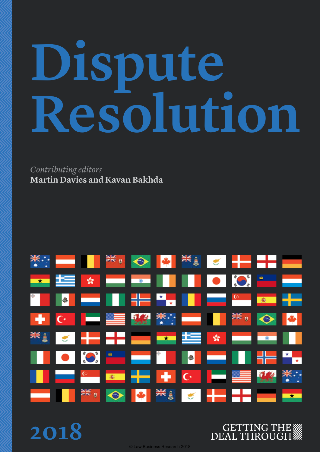# **Dispute Resolution**

### *Contributing editors* **Martin Davies and Kavan Bakhda**



**2018**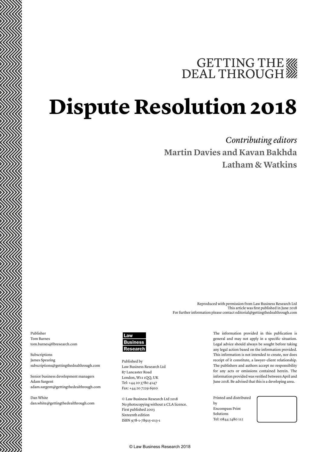# GETTING THE WE DEAL THROUGH

# **Dispute Resolution 2018**

### *Contributing editors* **Martin Davies and Kavan Bakhda Latham & Watkins**

Publisher Tom Barnes tom.barnes@lbresearch.com

Subscriptions James Spearing subscriptions@gettingthedealthrough.com

Senior business development managers Adam Sargent adam.sargent@gettingthedealthrough.com

Dan White dan.white@gettingthedealthrough.com



Published by Law Business Research Ltd 87 Lancaster Road London, W11 1QQ, UK Tel: +44 20 3780 4147 Fax: +44 20 7229 6910

© Law Business Research Ltd 2018 No photocopying without a CLA licence. First published 2003 Sixteenth edition ISBN 978-1-78915-013-1

The information provided in this publication is general and may not apply in a specific situation. Legal advice should always be sought before taking any legal action based on the information provided. This information is not intended to create, nor does receipt of it constitute, a lawyer–client relationship. The publishers and authors accept no responsibility for any acts or omissions contained herein. The information provided was verified between April and June 2018. Be advised that this is a developing area.

Reproduced with permission from Law Business Research Ltd

For further information please contact editorial@gettingthedealthrough.com

This article was first published in June 2018

Printed and distributed by Encompass Print Solutions Tel: 0844 2480 112



© Law Business Research 2018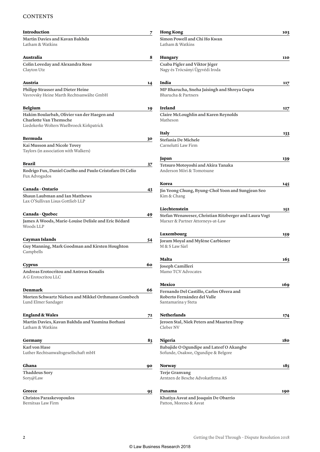#### **CONTENTS**

| Introduction                                                                                                              | 7  | <b>Hong Kong</b>                                                                               | 103 |
|---------------------------------------------------------------------------------------------------------------------------|----|------------------------------------------------------------------------------------------------|-----|
| <b>Martin Davies and Kavan Bakhda</b><br>Latham & Watkins                                                                 |    | Simon Powell and Chi Ho Kwan<br>Latham & Watkins                                               |     |
| Australia                                                                                                                 | 8  | Hungary                                                                                        | 110 |
| Colin Loveday and Alexandra Rose<br>Clayton Utz                                                                           |    | Csaba Pigler and Viktor Jéger<br>Nagy és Trócsányi Ügyvédi Iroda                               |     |
| Austria                                                                                                                   | 14 | India                                                                                          | 117 |
| <b>Philipp Strasser and Dieter Heine</b><br>Vavrovsky Heine Marth Rechtsanwälte GmbH                                      |    | MP Bharucha, Sneha Jaisingh and Shreya Gupta<br>Bharucha & Partners                            |     |
| <b>Belgium</b>                                                                                                            | 19 | Ireland                                                                                        | 127 |
| Hakim Boularbah, Olivier van der Haegen and<br><b>Charlotte Van Themsche</b><br>Liedekerke Wolters Waelbroeck Kirkpatrick |    | <b>Claire McLoughlin and Karen Reynolds</b><br>Matheson                                        |     |
|                                                                                                                           |    | <b>Italy</b>                                                                                   | 133 |
| Bermuda<br>Kai Musson and Nicole Tovey<br>Taylors (in association with Walkers)                                           | 30 | Stefania De Michele<br>Carnelutti Law Firm                                                     |     |
|                                                                                                                           |    | Japan                                                                                          | 139 |
| <b>Brazil</b><br>Rodrigo Fux, Daniel Coelho and Paulo Cristofaro Di Celio<br>Fux Advogados                                | 37 | Tetsuro Motoyoshi and Akira Tanaka<br>Anderson Möri & Tomotsune                                |     |
|                                                                                                                           |    | Korea                                                                                          | 145 |
| <b>Canada - Ontario</b>                                                                                                   | 43 | Jin Yeong Chung, Byung-Chol Yoon and Sungjean Seo                                              |     |
| Shaun Laubman and Ian Matthews<br>Lax O'Sullivan Lisus Gottlieb LLP                                                       |    | Kim & Chang                                                                                    |     |
|                                                                                                                           |    | Liechtenstein                                                                                  | 152 |
| Canada-Quebec<br>James A Woods, Marie-Louise Delisle and Eric Bédard<br>Woods LLP                                         | 49 | Stefan Wenaweser, Christian Ritzberger and Laura Vogt<br>Marxer & Partner Attorneys-at-Law     |     |
|                                                                                                                           |    | Luxembourg                                                                                     | 159 |
| Cayman Islands<br>Guy Manning, Mark Goodman and Kirsten Houghton<br>Campbells                                             | 54 | Joram Moyal and Mylène Carbiener<br>M & S Law Sàrl                                             |     |
|                                                                                                                           |    | Malta                                                                                          | 163 |
| <b>Cyprus</b>                                                                                                             | 60 | Joseph Camilleri                                                                               |     |
| Andreas Erotocritou and Antreas Koualis<br>A G Erotocritou LLC                                                            |    | Mamo TCV Advocates                                                                             |     |
|                                                                                                                           |    | Mexico                                                                                         | 169 |
| <b>Denmark</b><br>Morten Schwartz Nielsen and Mikkel Orthmann Grønbech<br>Lund Elmer Sandager                             | 66 | Fernando Del Castillo, Carlos Olvera and<br>Roberto Fernández del Valle<br>Santamarina y Steta |     |
| <b>England &amp; Wales</b>                                                                                                | 72 | <b>Netherlands</b>                                                                             | 174 |
| Martin Davies, Kavan Bakhda and Yasmina Borhani<br>Latham & Watkins                                                       |    | Jeroen Stal, Niek Peters and Maarten Drop<br>Cleber NV                                         |     |
| Germany                                                                                                                   | 83 | Nigeria                                                                                        | 180 |
| Karl von Hase<br>Luther Rechtsanwaltsgesellschaft mbH                                                                     |    | Babajide O Ogundipe and Lateef O Akangbe<br>Sofunde, Osakwe, Ogundipe & Belgore                |     |
| Ghana                                                                                                                     | 90 | <b>Norway</b>                                                                                  | 185 |
| <b>Thaddeus Sory</b><br>Sory@Law                                                                                          |    | <b>Terje Granvang</b><br>Arntzen de Besche Advokatfirma AS                                     |     |
| Greece                                                                                                                    | 95 | Panama                                                                                         | 190 |
| <b>Christos Paraskevopoulos</b><br>Bernitsas Law Firm                                                                     |    | Khatiya Asvat and Joaquin De Obarrio<br>Patton, Moreno & Asvat                                 |     |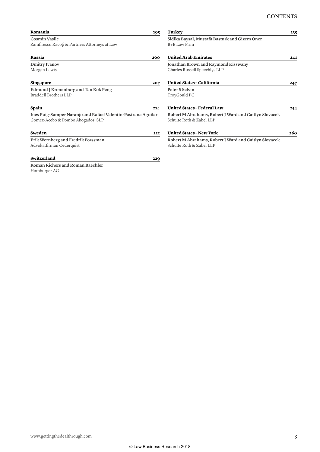| Romania                                                                                            | <b>Turkey</b><br>195                                                              | 235 |
|----------------------------------------------------------------------------------------------------|-----------------------------------------------------------------------------------|-----|
| <b>Cosmin Vasile</b><br>Zamfirescu Racoți & Partners Attorneys at Law                              | Sidika Baysal, Mustafa Basturk and Gizem Oner<br>B+B Law Firm                     |     |
| <b>Russia</b><br>200                                                                               | <b>United Arab Emirates</b>                                                       | 241 |
| <b>Dmitry Ivanov</b><br>Morgan Lewis                                                               | Jonathan Brown and Raymond Kisswany<br>Charles Russell Speechlys LLP              |     |
| <b>Singapore</b>                                                                                   | <b>United States - California</b><br>207                                          | 247 |
| Edmund J Kronenburg and Tan Kok Peng<br>Braddell Brothers LLP                                      | Peter S Selvin<br>TroyGould PC                                                    |     |
| Spain                                                                                              | <b>United States - Federal Law</b><br>214                                         | 254 |
| Inés Puig-Samper Naranjo and Rafael Valentín-Pastrana Aguilar<br>Gómez-Acebo & Pombo Abogados, SLP | Robert M Abrahams, Robert J Ward and Caitlyn Slovacek<br>Schulte Roth & Zabel LLP |     |
| Sweden                                                                                             | <b>United States - New York</b><br>222                                            | 260 |
| Erik Wernberg and Fredrik Forssman<br>Advokatfirman Cederquist                                     | Robert M Abrahams, Robert J Ward and Caitlyn Slovacek<br>Schulte Roth & Zabel LLP |     |
| Switzerland                                                                                        | 229                                                                               |     |
| <b>Roman Richers and Roman Baechler</b><br>Homburger AG                                            |                                                                                   |     |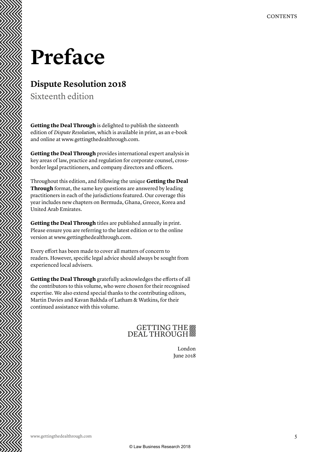## **Preface**

#### **Dispute Resolution 2018**

Sixteenth edition

**Getting the Deal Through** is delighted to publish the sixteenth edition of *Dispute Resolution*, which is available in print, as an e-book and online at www.gettingthedealthrough.com.

**Getting the Deal Through** provides international expert analysis in key areas of law, practice and regulation for corporate counsel, crossborder legal practitioners, and company directors and officers.

Throughout this edition, and following the unique **Getting the Deal Through** format, the same key questions are answered by leading practitioners in each of the jurisdictions featured. Our coverage this year includes new chapters on Bermuda, Ghana, Greece, Korea and United Arab Emirates.

**Getting the Deal Through** titles are published annually in print. Please ensure you are referring to the latest edition or to the online version at www.gettingthedealthrough.com.

Every effort has been made to cover all matters of concern to readers. However, specific legal advice should always be sought from experienced local advisers.

**Getting the Deal Through** gratefully acknowledges the efforts of all the contributors to this volume, who were chosen for their recognised expertise. We also extend special thanks to the contributing editors, Martin Davies and Kavan Bakhda of Latham & Watkins, for their continued assistance with this volume.

### GETTING THE

London June 2018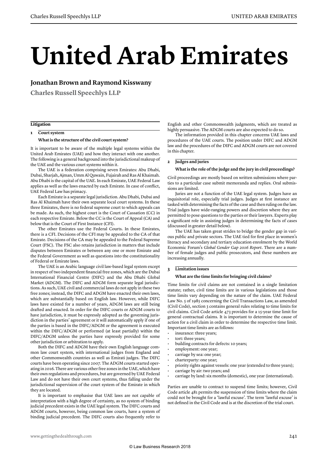# **United Arab Emirates**

#### **Jonathan Brown and Raymond Kisswany**

**Charles Russell Speechlys LLP**

#### **Litigation**

#### **1 Court system**

#### **What is the structure of the civil court system?**

It is important to be aware of the multiple legal systems within the United Arab Emirates (UAE) and how they interact with one another. The following is a general background into the jurisdictional makeup of the UAE and the various court systems within it.

The UAE is a federation comprising seven Emirates: Abu Dhabi, Dubai, Sharjah, Ajman, Umm Al Quwain, Fujairah and Ras Al Khaimah. Abu Dhabi is the capital of the UAE. In each Emirate, UAE Federal Law applies as well as the laws enacted by each Emirate. In case of conflict, UAE Federal Law has primacy.

Each Emirate is a separate legal jurisdiction. Abu Dhabi, Dubai and Ras Al Khaimah have their own separate local court systems. In these three Emirates, there is no federal supreme court to which appeals can be made. As such, the highest court is the Court of Cassation (CC) in each respective Emirate. Below the CC is the Court of Appeal (CA) and below that is the Court of First Instance (CFI).

The other Emirates use the Federal Courts. In these Emirates, there is a CFI. Decisions of the CFI may be appealed to the CA of that Emirate. Decisions of the CA may be appealed to the Federal Supreme Court (FSC). The FSC also retains jurisdiction in matters that include disputes between Emirates or between any one or more Emirate and the Federal Government as well as questions into the constitutionality of Federal or Emirate laws.

The UAE is an Arabic language civil law-based legal system except in respect of two independent financial free zones, which are the Dubai International Financial Centre (DIFC) and the Abu Dhabi Global Market (ADGM). The DIFC and ADGM form separate legal jurisdictions. As such, UAE civil and commercial laws do not apply in these two free zones; instead, the DIFC and ADGM have enacted their own laws, which are substantially based on English law. However, while DIFC laws have existed for a number of years, ADGM laws are still being drafted and enacted. In order for the DIFC courts or ADGM courts to have jurisdiction, it must be expressly adopted as the governing jurisdiction in the parties' agreement or it will automatically apply if one of the parties is based in the DIFC/ADGM or the agreement is executed within the DIFC/ADGM or performed (at least partially) within the DIFC/ADGM unless the parties have expressly provided for some other jurisdiction or arbitration to apply.

Both the DIFC and ADGM have their own English language common law court system, with international judges from England and other Commonwealth countries as well as Emirati judges. The DIFC courts have been operating since 2007. The ADGM courts started operating in 2016. There are various other free zones in the UAE, which have their own regulations and procedures, but are governed by UAE Federal Law and do not have their own court systems, thus falling under the jurisdictional supervision of the court system of the Emirate in which they are located.

It is important to emphasise that UAE laws are not capable of interpretation with a high degree of certainty, as no system of binding judicial precedent exists in the UAE legal system. The DIFC courts and ADGM courts, however, being common law courts, have a system of binding judicial precedent. The DIFC courts also frequently refer to

English and other Commonwealth judgments, which are treated as highly persuasive. The ADGM courts are also expected to do so.

The information provided in this chapter concerns UAE laws and procedures of the UAE courts. The position under DIFC and ADGM law and the procedures of the DIFC and ADGM courts are not covered in this chapter.

#### **2 Judges and juries**

#### **What is the role of the judge and the jury in civil proceedings?**

Civil proceedings are mostly based on written submissions where parties to a particular case submit memoranda and replies. Oral submissions are limited.

Juries are not a function of the UAE legal system. Judges have an inquisitorial role, especially trial judges. Judges at first instance are tasked with determining the facts of the case and then ruling on the law. Trial judges have wide-ranging powers and discretion where they are permitted to pose questions to the parties or their lawyers. Experts play a significant role in assisting judges in determining the facts of cases (discussed in greater detail below).

The UAE has taken great strides to bridge the gender gap in various public and private sectors. The UAE tied for first place in women's literacy and secondary and tertiary education enrolment by the World Economic Forum's *Global Gender Gap 2016 Report*. There are a number of female judges and public prosecutors, and these numbers are increasing annually.

#### **3 Limitation issues**

#### **What are the time limits for bringing civil claims?**

Time limits for civil claims are not contained in a single limitation statute; rather, civil time limits are in various legislations and those time limits vary depending on the nature of the claim. UAE Federal Law No. 5 of 1985 concerning the Civil Transactions Law, as amended (Civil Code), section 3 contains general rules relating to time limits for civil claims. Civil Code article 473 provides for a 15-year time limit for general contractual claims. It is important to determine the cause of action for a civil claim in order to determine the respective time limit. Important time limits are as follows:

- insurance: three years;
- tort: three years;
- building contracts for defects: 10 years;
- employment: one year;
- carriage by sea: one year;
- charterparty: one year;
- priority rights against vessels: one year (extended to three years);
- carriage by air: two years; and
- carriage by land: six months (domestic), one year (international).

Parties are unable to contract to suspend time limits; however, Civil Code article 481 permits the suspension of time limits where the claim could not be brought for a 'lawful excuse'. The term 'lawful excuse' is not defined in the Civil Code and is at the discretion of the trial court.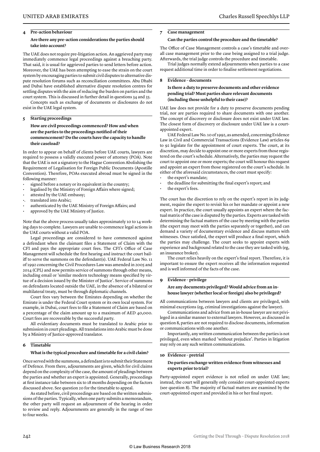#### **4 Pre-action behaviour**

#### **Are there any pre-action considerations the parties should take into account?**

The UAE does not require pre-litigation action. An aggrieved party may immediately commence legal proceedings against a breaching party. That said, it is usual for aggrieved parties to send letters before action. Moreover, the UAE has been attempting to ease the strain on the court system by encouraging parties to submit civil disputes to alternative dispute resolution forums such as reconciliation committees. Abu Dhabi and Dubai have established alternative dispute resolution centres for settling disputes with the aim of reducing the burden on parties and the court system. This is discussed in further detail in questions 34 and 35.

Concepts such as exchange of documents or disclosures do not exist in the UAE legal system.

#### **5 Starting proceedings**

**How are civil proceedings commenced? How and when are the parties to the proceedings notified of their commencement? Do the courts have the capacity to handle their caseload?** 

In order to appear on behalf of clients before UAE courts, lawyers are required to possess a validly executed power of attorney (POA). Note that the UAE is not a signatory to the Hague Convention Abolishing the Requirement of Legalisation for Foreign Public Documents (Apostille Convention). Therefore, POAs executed abroad must be signed in the following manner:

- signed before a notary or its equivalent in the country;
- legalised by the Ministry of Foreign Affairs where signed;
- attested by the UAE embassy;
- •. translated into Arabic;
- authenticated by the UAE Ministry of Foreign Affairs; and
- approved by the UAE Ministry of Justice.

Note that the above process usually takes approximately 10 to 14 working days to complete. Lawyers are unable to commence legal actions in the UAE courts without a valid POA.

Legal proceedings are considered to have commenced against a defendant when the claimant files a Statement of Claim with the CFI and pays the appropriate court fees. The CFI's Office of Case Management will schedule the first hearing and instruct the court bailiff to serve the summons on the defendant(s). UAE Federal Law No. 11 of 1992 concerning the Civil Procedures Law was amended in 2005 and 2014 (CPL) and now permits service of summons through other means, including email or 'similar modern technology means specified by virtue of a decision issued by the Minister of Justice'. Service of summons on defendants located outside the UAE, in the absence of a bilateral or multilateral treaty, must be through diplomatic channels.

Court fees vary between the Emirates depending on whether the Emirate is under the Federal Court system or its own local system. For example, in Dubai, court fees to file a Statement of Claim are based on a percentage of the claim amount up to a maximum of AED 40,000. Court fees are recoverable by the successful party.

All evidentiary documents must be translated to Arabic prior to submission in court pleadings. All translations into Arabic must be done by a Ministry of Justice-approved translator.

#### **6 Timetable**

#### **What is the typical procedure and timetable for a civil claim?**

Once served with the summons, a defendant is to submit their Statement of Defence. From there, adjournments are given, which for civil claims depend on the complexity of the case, the amount of pleadings between the parties and whether an expert is appointed. Generally, proceedings at first instance take between six to 18 months depending on the factors discussed above. See question 20 for the timetable to appeal.

As stated before, civil proceedings are based on the written submissions of the parties. Typically, when one party submits a memorandum, the other party will request an adjournment of the hearing in order to review and reply. Adjournments are generally in the range of two to four weeks.

#### **7 Case management**

#### **Can the parties control the procedure and the timetable?**

The Office of Case Management controls a case's timetable and overall case management prior to the case being assigned to a trial judge. Afterwards, the trial judge controls the procedure and timetable.

Trial judges normally extend adjournments when parties to a case request additional time in order to finalise settlement negotiations.

#### **8 Evidence – documents**

#### **Is there a duty to preserve documents and other evidence pending trial? Must parties share relevant documents (including those unhelpful to their case)?**

UAE law does not provide for a duty to preserve documents pending trial, nor are parties required to share documents with one another. The concept of discovery or disclosure does not exist under UAE law. The closest form of discovery or disclosure under UAE law is a courtappointed expert.

UAE Federal Law No. 10 of 1992, as amended, concerning Evidence Law in Civil and Commercial Transactions (Evidence Law) articles 69 to 92 legislate for the appointment of court experts. The court, at its discretion, may decide to appoint one or more experts from those registered on the court's schedule. Alternatively, the parties may request the court to appoint one or more experts; the court will honour this request and appoint an expert from those registered on the court's schedule. In either of the aforesaid circumstances, the court must specify:

- the expert's mandate;
- the deadline for submitting the final expert's report; and
- the expert's fees.

The court has the discretion to rely on the expert's report in its judgment, require the expert to revisit his or her mandate or appoint a new expert. In practice, the court usually appoints an expert where the factual matrix of the case is disputed by the parties. Experts are tasked with determining the factual matters of the case by meeting with the parties (the expert may meet with the parties separately or together), and can demand a variety of documentary evidence and discuss matters with witnesses. Once satisfied, the expert will produce a final report, which the parties may challenge. The court seeks to appoint experts with experience and background related to the case they are tasked with (eg, an insurance broker).

The court relies heavily on the expert's final report. Therefore, it is important to ensure the expert receives all the information requested and is well informed of the facts of the case.

#### **9 Evidence – privilege**

#### **Are any documents privileged? Would advice from an inhouse lawyer (whether local or foreign) also be privileged?**

All communications between lawyers and clients are privileged, with minimal exceptions (eg, criminal investigations against the lawyer).

Communications and advice from an in-house lawyer are not privileged in a similar manner to external lawyers. However, as discussed in question 8, parties are not required to disclose documents, information or communications with one another.

Importantly, any written communication between the parties is not privileged, even when marked 'without prejudice'. Parties in litigation may rely on any such written communications.

#### **10 Evidence – pretrial**

#### **Do parties exchange written evidence from witnesses and experts prior to trial?**

Party-appointed expert evidence is not relied on under UAE law; instead, the court will generally only consider court-appointed experts (see question 8). The majority of factual matters are examined by the court-appointed expert and provided in his or her final report.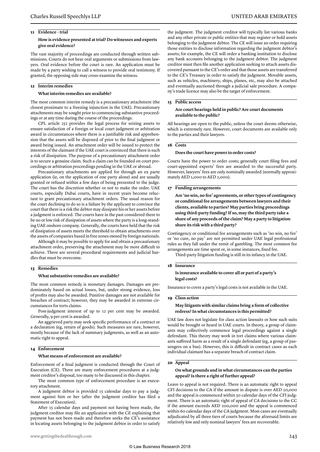#### **11 Evidence – trial**

#### **How is evidence presented at trial? Do witnesses and experts give oral evidence?**

The vast majority of proceedings are conducted through written submissions. Courts do not hear oral arguments or submissions from lawyers. Oral evidence before the court is rare. An application must be made by a party wishing to call a witness to provide oral testimony. If granted, the opposing side may cross-examine the witness.

#### **12 Interim remedies**

#### **What interim remedies are available?**

The most common interim remedy is a precautionary attachment (the closest proximate to a freezing injunction in the UAE). Precautionary attachments may be sought prior to commencing substantive proceedings or at any time during the course of the proceedings.

CPL article 252 provides the legal process for seizing assets to ensure satisfaction of a foreign or local court judgment or arbitration award in circumstances where there is a justifiable risk and apprehension that the assets will be disposed of prior to the final judgment or award being issued. An attachment order will be issued to protect the interests of the claimant if the UAE court is convinced that there is such a risk of dissipation. The purpose of a precautionary attachment order is to secure a genuine claim. Such a claim can be founded on court proceedings or arbitration proceedings pending in the UAE or abroad.

Precautionary attachments are applied for through an ex parte application (ie, on the application of one party alone) and are usually granted or refused within a few days of being presented to the judge. The court has the discretion whether or not to make the order. UAE courts, especially Dubai courts, have in recent years become reluctant to grant precautionary attachment orders. The usual reason for the court declining to do so is a failure by the applicant to convince the court that there is a risk the debtor may dissipate his or her assets before a judgment is enforced. The courts have in the past considered there to be no or low risk of dissipation of assets where the party is a long-standing UAE onshore company. Generally, the courts have held that the risk of dissipation of assets meets the threshold to obtain attachments over the assets of companies based in free zones owned by foreign nationals.

Although it may be possible to apply for and obtain a precautionary attachment order, preserving the attachment may be more difficult to achieve. There are several procedural requirements and judicial hurdles that must be overcome.

#### **13 Remedies**

#### **What substantive remedies are available?**

The most common remedy is monetary damages. Damages are predominately based on actual losses, but, under strong evidence, loss of profits may also be awarded. Punitive damages are not available for breaches of contract; however, they may be awarded in extreme circumstances for torts claims.

Post-judgment interest of up to 12 per cent may be awarded. Generally, 9 per cent is awarded.

An aggrieved party may seek specific performance of a contract or a declaration (eg, return of goods). Such measures are rare, however, mostly because of the lack of summary judgments, as well as an automatic right to appeal.

#### **14 Enforcement**

#### **What means of enforcement are available?**

Enforcement of a final judgment is conducted through the Court of Execution (CE). There are many enforcement procedures at a judgment creditor's disposal, too many to be discussed in this chapter.

The most common type of enforcement procedure is an executory attachment.

A judgment debtor is provided 15 calendar days to pay a judgment against him or her (after the judgment creditor has filed a Statement of Execution).

After 15 calendar days and payment not having been made, the judgment creditor may file an application with the CE explaining that payment has not been made and therefore seeks the CE's assistance in locating assets belonging to the judgment debtor in order to satisfy the judgment. The judgment creditor will typically list various banks and any other private or public entities that may register or hold assets belonging to the judgment debtor. The CE will issue an order requiring those entities to disclose information regarding the judgment debtor's assets; for example, the CE will order a banking institution to disclose any bank accounts belonging to the judgment debtor. The judgment creditor must then file another application seeking to attach assets discovered pursuant to the CE's order and that those assets are transferred to the CE's Treasury in order to satisfy the judgment. Movable assets, such as vehicles, machinery, ships, planes, etc, may also be attached and eventually auctioned through a judicial sale procedure. A company's trade licence may also be the target of enforcement.

#### **15 Public access**

#### **Are court hearings held in public? Are court documents available to the public?**

All hearings are open to the public, unless the court deems otherwise, which is extremely rare. However, court documents are available only to the parties and their lawyers.

#### **16 Costs**

#### **Does the court have power to order costs?**

Courts have the power to order costs; generally court filing fees and court-appointed experts' fees are awarded to the successful party. However, lawyers' fees are only nominally awarded (normally approximately AED 1,000 to AED 2,000).

#### **17 Funding arrangements**

**Are 'no win, no fee' agreements, or other types of contingency or conditional fee arrangements between lawyers and their clients, available to parties? May parties bring proceedings using third-party funding? If so, may the third party take a share of any proceeds of the claim? May a party to litigation share its risk with a third party?** 

Contingency or conditional fee arrangements such as 'no win, no fee' or 'no cure, no pay' are not permitted under UAE legal professional rules as they fall under the remit of gambling. The most common fee arrangements are time spent or, in some instances, fixed fee.

Third-party litigation funding is still in its infancy in the UAE.

#### **18 Insurance**

#### **Is insurance available to cover all or part of a party's legal costs?**

Insurance to cover a party's legal costs is not available in the UAE.

#### **19 Class action**

#### **May litigants with similar claims bring a form of collective redress? In what circumstances is this permitted?**

UAE law does not legislate for class action lawsuits or how such suits would be brought or heard in UAE courts. In theory, a group of claimants may collectively commence legal proceedings against a single defendant. This theory may work in tort claims where various claimants suffered harm as a result of a single defendant (eg, a group of passengers on a bus). However, this is difficult in contract cases as each individual claimant has a separate breach of contract claim.

#### **20 Appeal**

#### **On what grounds and in what circumstances can the parties appeal? Is there a right of further appeal?**

Leave to appeal is not required. There is an automatic right to appeal CFI decisions to the CA if the amount in dispute is over AED 20,000 and the appeal is commenced within 30 calendar days of the CFI judgment. There is an automatic right of appeal of CA decisions to the CC if the amount exceeds AED 200,000 and the appeal is commenced within 60 calendar days of the CA judgment. Most cases are eventually adjudicated by all three tiers of courts because the aforesaid limits are relatively low and only nominal lawyers' fees are recoverable.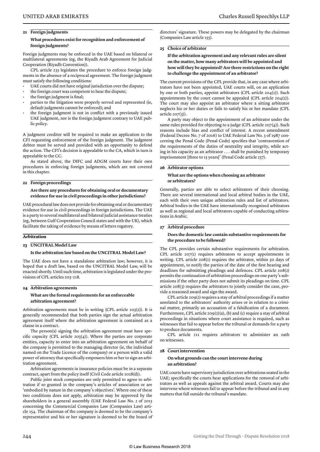#### **21 Foreign judgments**

#### **What procedures exist for recognition and enforcement of foreign judgments?**

Foreign judgments may be enforced in the UAE based on bilateral or multilateral agreements (eg, the Riyadh Arab Agreement for Judicial Cooperation (Riyadh Convention)).

CPL article 235 legislates the procedure to enforce foreign judgments in the absence of a reciprocal agreement. The foreign judgment must satisfy the following conditions:

- UAE courts did not have original jurisdiction over the dispute;
- the foreign court was competent to hear the dispute;
- the foreign judgment is final;
- parties to the litigation were properly served and represented (ie, default judgments cannot be enforced); and
- the foreign judgment is not in conflict with a previously issued UAE judgment, nor is the foreign judgment contrary to UAE public policy.

A judgment creditor will be required to make an application to the CFI requesting enforcement of the foreign judgment. The judgment debtor must be served and provided with an opportunity to defend the action. The CFI's decision is appealable to the CA, which in turn is appealable to the CC.

As stated above, the DIFC and ADGM courts have their own procedures in enforcing foreign judgments, which are not covered in this chapter.

#### **22 Foreign proceedings**

#### **Are there any procedures for obtaining oral or documentary evidence for use in civil proceedings in other jurisdictions?**

UAE procedural law does not provide for obtaining oral or documentary evidence for use in civil proceedings in foreign jurisdictions. The UAE is a party to several multilateral and bilateral judicial assistance treaties (eg, between Gulf Cooperation Council states and with the UK), which facilitate the taking of evidence by means of letters rogatory.

#### **Arbitration**

#### **23 UNCITRAL Model Law**

#### **Is the arbitration law based on the UNCITRAL Model Law?**

The UAE does not have a standalone arbitration law; however, it is hoped that a draft law, based on the UNCITRAL Model Law, will be enacted shortly. Until such time, arbitration is legislated under the provisions of CPL articles 203–218.

#### **24 Arbitration agreements**

#### **What are the formal requirements for an enforceable arbitration agreement?**

Arbitration agreements must be in writing (CPL article 203(2)). It is generally recommended that both parties sign the actual arbitration agreement itself where the arbitration agreement is contained as a clause in a contract.

The person(s) signing the arbitration agreement must have specific capacity (CPL article 203(4)). Where the parties are corporate entities, capacity to enter into an arbitration agreement on behalf of the company is permitted to the managing director (ie, the individual named on the Trade Licence of the company) or a person with a valid power of attorney that specifically empowers him or her to sign an arbitration agreement.

Arbitration agreements in insurance policies must be in a separate contract, apart from the policy itself (Civil Code article 1028(d)).

Public joint stock companies are only permitted to agree to arbitration if so granted in the company's articles of association or are 'embodied by nature in the company's objectives'. Where one of these two conditions does not apply, arbitration may be approved by the shareholders in a general assembly (UAE Federal Law No. 2 of 2015 concerning the Commercial Companies Law (Companies Law) article 154. The chairman of the company is deemed to be the company's representative and his or her signature is deemed to be the board of directors' signature. These powers may be delegated by the chairman (Companies Law article 155).

#### **25 Choice of arbitrator**

**If the arbitration agreement and any relevant rules are silent on the matter, how many arbitrators will be appointed and how will they be appointed? Are there restrictions on the right to challenge the appointment of an arbitrator?**

The current provisions of the CPL provide that, in any case where arbitrators have not been appointed, UAE courts will, on an application by one or both parties, appoint arbitrators (CPL article 204(1)). Such appointments by the court cannot be appealed (CPL article 204(2)). The court may also appoint an arbitrator where a sitting arbitrator neglects his or her duties or fails to satisfy his or her mandate (CPL article 207(3)).

A party may object to the appointment of an arbitrator under the same rules provided for objecting to a judge (CPL article  $207(4)$ ). Such reasons include bias and conflict of interest. A recent amendment (Federal Decree No. 7 of 2016) to UAE Federal Law No. 3 of 1987 concerning the Penal Code (Penal Code) specifies that 'contravention of the requirements of the duties of neutrality and integrity, while acting in his capacity as an arbitrator . . . shall be punished by temporary imprisonment [three to 15 years]' (Penal Code article 257).

#### **26 Arbitrator options**

#### **What are the options when choosing an arbitrator or arbitrators?**

Generally, parties are able to select arbitrators of their choosing. There are several international and local arbitral bodies in the UAE, each with their own unique arbitration rules and list of arbitrators. Arbitral bodies in the UAE have internationally recognised arbitrators as well as regional and local arbitrators capable of conducting arbitrations in Arabic.

#### **27 Arbitral procedure**

#### **Does the domestic law contain substantive requirements for the procedure to be followed?**

The CPL provides certain substantive requirements for arbitration. CPL article 207(1) requires arbitrators to accept appointments in writing. CPL article 208(1) requires the arbitrator, within 30 days of appointment, to notify the parties of the date of the first hearing and deadlines for submitting pleadings and defences. CPL article 208(2) permits the continuation of arbitration proceedings on one party's submissions if the other party does not submit its pleadings on time. CPL article 208(3) requires the arbitrators to jointly consider the case, provide a reasoned award and sign the award.

CPL article 209(2) requires a stay of arbitral proceedings if a matter unrelated to the arbitrators' authority arises or in relation to a criminal matter, primarily an accusation of a falsification of a document. Furthermore, CPL article 209(2)(a), (b) and (c) require a stay of arbitral proceedings in situations where court assistance is required, such as witnesses that fail to appear before the tribunal or demands for a party to produce documents.

CPL article 211 requires arbitrators to administer an oath on witnesses.

#### **28 Court intervention**

#### **On what grounds can the court intervene during an arbitration?**

UAE courts have supervisory jurisdiction over arbitrations seated in the UAE; specifically the courts hear applications for the removal of arbitrators as well as appeals against the arbitral award. Courts may also intervene where witnesses fail to appear before the tribunal and in any matters that fall outside the tribunal's mandate.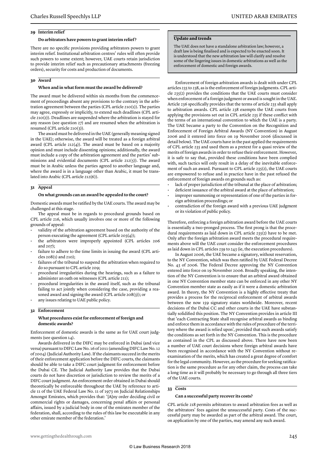#### **29 Interim relief**

#### **Do arbitrators have powers to grant interim relief ?**

There are no specific provisions providing arbitrators powers to grant interim relief. Institutional arbitration centres' rules will often provide such powers to some extent; however, UAE courts retain jurisdiction to provide interim relief such as precautionary attachments (freezing orders), security for costs and production of documents.

#### **30 Award**

#### **When and in what form must the award be delivered?**

The award must be delivered within six months from the commencement of proceedings absent any provisions to the contrary in the arbitration agreement between the parties (CPL article 210(1)). The parties may agree, expressly or implicitly, to extend such deadlines (CPL article 210(2)). Deadlines are suspended where the arbitration is stayed for any reason (see question 27) and are resumed when the arbitration is resumed (CPL article 210(3)).

The award must be delivered in the UAE (generally meaning signed in the UAE); otherwise, the award will be treated as a foreign arbitral award (CPL article  $212(4)$ ). The award must be based on a majority opinion and must include dissenting opinions; additionally, the award must include a copy of the arbitration agreement and the parties' submissions and evidential documents (CPL article 212(5)). The award must be in Arabic unless the parties agreed to another language and, where the award is in a language other than Arabic, it must be translated into Arabic (CPL article 212(6)).

#### **31 Appeal**

#### **On what grounds can an award be appealed to the court?**

Domestic awards must be ratified by the UAE courts. The award may be challenged at this stage.

The appeal must be in regards to procedural grounds based on CPL article 216, which usually involves one or more of the following grounds of appeal:

- validity of the arbitration agreement based on the authority of the person executing the agreement (CPL article 203(4));
- the arbitrators were improperly appointed (CPL articles 206 and  $207$ :
- failure to adhere to the time limits in issuing the award (CPL articles 208(1) and 210);
- failures of the tribunal to suspend the arbitration when required to do so pursuant to CPL article 209;
- procedural irregularities during the hearings, such as a failure to administer an oath on witnesses (CPL article 211);
- procedural irregularities in the award itself, such as the tribunal failing to act jointly when considering the case, providing a reasoned award and signing the award (CPL article 208(3)); or any issues relating to UAE public policy.
- **32 Enforcement**

#### **What procedures exist for enforcement of foreign and domestic awards?**

Enforcement of domestic awards is the same as for UAE court judgments (see question 14).

Awards delivered in the DIFC may be enforced in Dubai (and vice versa) pursuant to DIFC Law No. 16 of 2011 (amending DIFC Law No. 12 of 2004) (Judicial Authority Law). If the claimants succeed in the merits of their enforcement application before the DIFC courts, the claimants should be able to take a DIFC court judgment for enforcement before the Dubai CE. The Judicial Authority Law provides that the Dubai courts do not have discretion or jurisdiction to review the merits of a DIFC court judgment. An enforcement order obtained in Dubai should theoretically be enforceable throughout the UAE by reference to article 11 of the UAE Federal Law No. 11 of 1973 on Judicial Relationships Amongst Emirates, which provides that: '[A]ny order deciding civil or commercial rights or damages, concerning penal affairs or personal affairs, issued by a judicial body in one of the emirates member of the federation, shall, according to the rules of this law be executable in any other emirate member of the federation.'

#### **Update and trends**

The UAE does not have a standalone arbitration law; however, a draft law is being finalised and is expected to be enacted soon. It is understood that the new arbitration law will clarify and resolve some of the lingering issues in domestic arbitrations as well as the enforcement of domestic and foreign awards.

Enforcement of foreign arbitration awards is dealt with under CPL articles 235 to 238, as is the enforcement of foreign judgments. CPL article 235(2) provides the conditions that the UAE courts must consider when enforcement of a foreign judgment or award is sought in the UAE. Article 236 specifically provides that the terms of article 235 shall apply to arbitration awards. CPL article 238 exempts the UAE courts from applying the provisions set out in CPL article 235 if these conflict with the terms of an international convention to which the UAE is a party. The UAE became a party to the Convention on the Recognition and Enforcement of Foreign Arbitral Awards (NY Convention) in August 2006 and it entered into force on 19 November 2006 (discussed in detail below). The UAE courts have in the past applied the requirements of CPL article 235 and used them as a pretext for a quasi review of the merits of foreign awards in order to refuse their enforcement. However, it is safe to say that, provided these conditions have been complied with, such tactics will only result in a delay of the inevitable enforcement of such an award. Pursuant to CPL article 235(2), the UAE courts are empowered to refuse and in practice have in the past refused the enforcement of foreign awards on grounds such as:

- lack of proper jurisdiction of the tribunal at the place of arbitration;
- deficient issuance of the arbitral award at the place of arbitration;
- improper summoning or representation of one of the parties in foreign arbitration proceedings; or
- contradiction of the foreign award with a previous UAE judgment or its violation of public policy.

Therefore, enforcing a foreign arbitration award before the UAE courts is essentially a two-pronged process. The first prong is that the procedural requirements as laid down in CPL article 235(2) have to be met. Only after the foreign arbitration award meets the procedural requirements above will the UAE court consider the enforcement procedures as laid down in CPL articles 239 to 243 (ie, the execution procedures).

In August 2006, the UAE became a signatory, without reservation, to the NY Convention, which was then ratified by UAE Federal Decree No. 43 of 2006. The Federal Decree approving the NY Convention entered into force on 19 November 2006. Broadly speaking, the intention of the NY Convention is to ensure that an arbitral award obtained in one NY Convention member state can be enforced in any other NY Convention member state as easily as if it were a domestic arbitration award. In theory, the NY Convention is a highly effective treaty that provides a process for the reciprocal enforcement of arbitral awards between the now 159 signatory states worldwide. Moreover, recent decisions of the Dubai CC and other courts in the UAE have substantially solidified this position. The NY Convention provides in article III that 'each Contracting State shall recognise arbitral awards as binding and enforce them in accordance with the rules of procedure of the territory where the award is relied upon', provided that such awards satisfy the conditions as set forth in the NY Convention. This is the procedure as contained in the CPL as discussed above. There have now been a number of UAE court decisions where foreign arbitral awards have been recognised in accordance with the NY Convention without reexamination of the merits, which has created a great degree of comfort for the legal community. However, as the procedure for seeking ratification is the same procedure as for any other claim, the process can take a long time as it will probably be necessary to go through all three tiers of the UAE courts.

#### **33 Costs**

#### **Can a successful party recover its costs?**

CPL article 218 permits arbitrators to award arbitration fees as well as the arbitrators' fees against the unsuccessful party. Costs of the successful party may be awarded as part of the arbitral award. The court, on application by one of the parties, may amend any such award.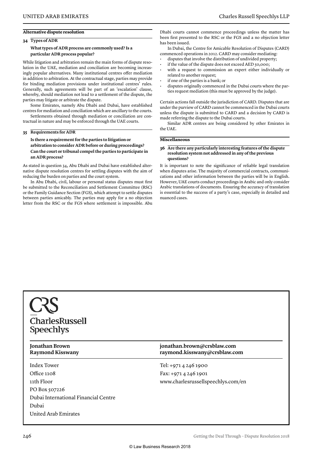#### **Alternative dispute resolution**

#### **34 Types of ADR**

#### **What types of ADR process are commonly used? Is a particular ADR process popular?**

While litigation and arbitration remain the main forms of dispute resolution in the UAE, mediation and conciliation are becoming increasingly popular alternatives. Many institutional centres offer mediation in addition to arbitration. At the contractual stage, parties may provide for binding mediation provisions under institutional centres' rules. Generally, such agreements will be part of an 'escalation' clause, whereby, should mediation not lead to a settlement of the dispute, the parties may litigate or arbitrate the dispute.

Some Emirates, namely Abu Dhabi and Dubai, have established centres for mediation and conciliation which are ancillary to the courts.

Settlements obtained through mediation or conciliation are contractual in nature and may be enforced through the UAE courts.

#### **35 Requirements for ADR**

**Is there a requirement for the parties to litigation or arbitration to consider ADR before or during proceedings? Can the court or tribunal compel the parties to participate in an ADR process?** 

As stated in question 34, Abu Dhabi and Dubai have established alternative dispute resolution centres for settling disputes with the aim of reducing the burden on parties and the court system.

In Abu Dhabi, civil, labour or personal status disputes must first be submitted to the Reconciliation and Settlement Committee (RSC) or the Family Guidance Section (FGS), which attempt to settle disputes between parties amicably. The parties may apply for a no objection letter from the RSC or the FGS where settlement is impossible. Abu

Dhabi courts cannot commence proceedings unless the matter has been first presented to the RSC or the FGS and a no objection letter has been issued.

In Dubai, the Centre for Amicable Resolution of Disputes (CARD) commenced operations in 2012. CARD may consider mediating:

- disputes that involve the distribution of undivided property; if the value of the dispute does not exceed AED 50,000;
- with a request to commission an expert either individually or related to another request;
- if one of the parties is a bank; or
- disputes originally commenced in the Dubai courts where the parties request mediation (this must be approved by the judge).

Certain actions fall outside the jurisdiction of CARD. Disputes that are under the purview of CARD cannot be commenced in the Dubai courts unless the dispute is submitted to CARD and a decision by CARD is made referring the dispute to the Dubai courts.

Similar ADR centres are being considered by other Emirates in the UAE.

#### **Miscellaneous**

#### **36 Are there any particularly interesting features of the dispute resolution system not addressed in any of the previous questions?**

It is important to note the significance of reliable legal translation when disputes arise. The majority of commercial contracts, communications and other information between the parties will be in English. However, UAE courts conduct proceedings in Arabic and only consider Arabic translations of documents. Ensuring the accuracy of translation is essential to the success of a party's case, especially in detailed and nuanced cases.

### CharlesRussell **Speechlys**

Index Tower Office 1108 11th Floor PO Box 507226 Dubai International Financial Centre Dubai United Arab Emirates

**Jonathan Brown jonathan.brown@crsblaw.com Raymond Kisswany raymond.kisswany@crsblaw.com**

> Tel: +971 4 246 1900 Fax: +971 4 246 1901 www.charlesrussellspeechlys.com/en